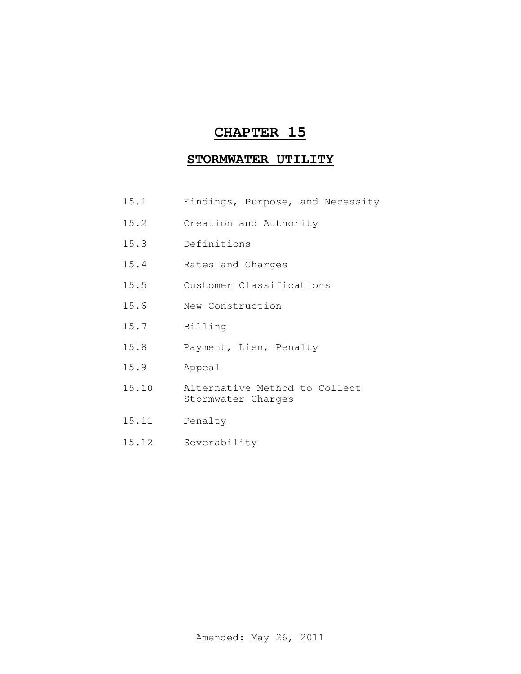## **CHAPTER 15**

## **STORMWATER UTILITY**

- 15.1 Findings, Purpose, and Necessity
- 15.2 Creation and Authority
- 15.3 Definitions
- 15.4 Rates and Charges
- 15.5 Customer Classifications
- 15.6 New Construction
- 15.7 Billing
- 15.8 Payment, Lien, Penalty
- 15.9 Appeal
- 15.10 Alternative Method to Collect Stormwater Charges
- 15.11 Penalty
- 15.12 Severability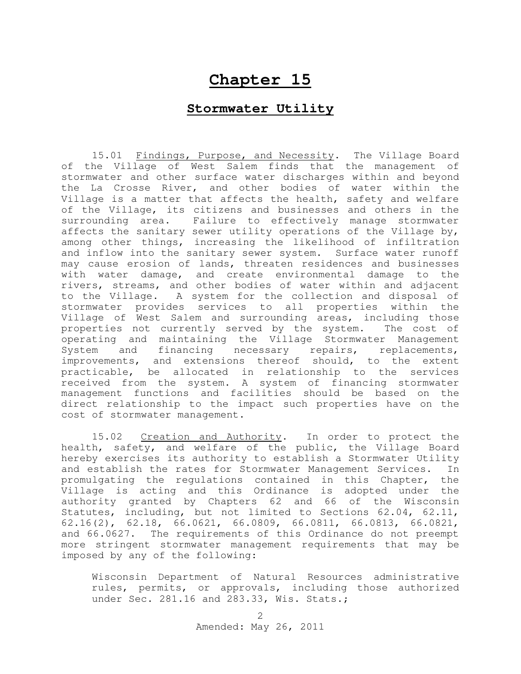## **Chapter 15**

## **Stormwater Utility**

15.01 Findings, Purpose, and Necessity. The Village Board of the Village of West Salem finds that the management of stormwater and other surface water discharges within and beyond the La Crosse River, and other bodies of water within the Village is a matter that affects the health, safety and welfare of the Village, its citizens and businesses and others in the surrounding area. Failure to effectively manage stormwater affects the sanitary sewer utility operations of the Village by, among other things, increasing the likelihood of infiltration and inflow into the sanitary sewer system. Surface water runoff may cause erosion of lands, threaten residences and businesses with water damage, and create environmental damage to the rivers, streams, and other bodies of water within and adjacent to the Village. A system for the collection and disposal of stormwater provides services to all properties within the Village of West Salem and surrounding areas, including those properties not currently served by the system. The cost of operating and maintaining the Village Stormwater Management System and financing necessary repairs, replacements, improvements, and extensions thereof should, to the extent practicable, be allocated in relationship to the services received from the system. A system of financing stormwater management functions and facilities should be based on the direct relationship to the impact such properties have on the cost of stormwater management.

15.02 Creation and Authority. In order to protect the health, safety, and welfare of the public, the Village Board hereby exercises its authority to establish a Stormwater Utility and establish the rates for Stormwater Management Services. In promulgating the regulations contained in this Chapter, the Village is acting and this Ordinance is adopted under the authority granted by Chapters 62 and 66 of the Wisconsin Statutes, including, but not limited to Sections 62.04, 62.11, 62.16(2), 62.18, 66.0621, 66.0809, 66.0811, 66.0813, 66.0821, and 66.0627. The requirements of this Ordinance do not preempt more stringent stormwater management requirements that may be imposed by any of the following:

Wisconsin Department of Natural Resources administrative rules, permits, or approvals, including those authorized under Sec. 281.16 and 283.33, Wis. Stats.;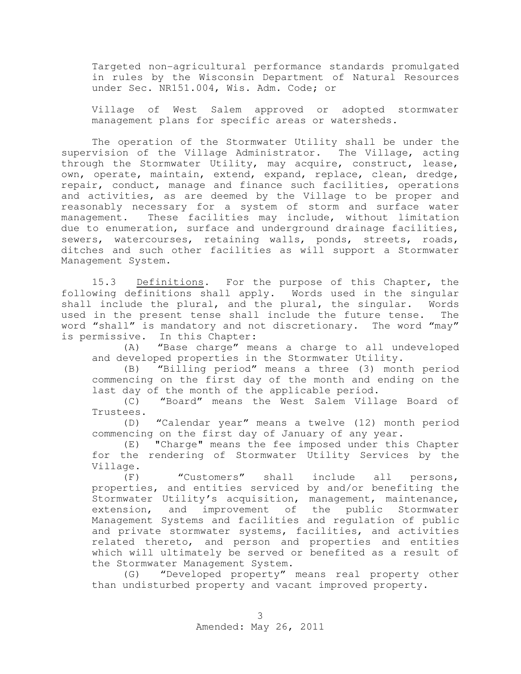Targeted non-agricultural performance standards promulgated in rules by the Wisconsin Department of Natural Resources under Sec. NR151.004, Wis. Adm. Code; or

Village of West Salem approved or adopted stormwater management plans for specific areas or watersheds.

The operation of the Stormwater Utility shall be under the supervision of the Village Administrator. The Village, acting through the Stormwater Utility, may acquire, construct, lease, own, operate, maintain, extend, expand, replace, clean, dredge, repair, conduct, manage and finance such facilities, operations and activities, as are deemed by the Village to be proper and reasonably necessary for a system of storm and surface water management. These facilities may include, without limitation due to enumeration, surface and underground drainage facilities, sewers, watercourses, retaining walls, ponds, streets, roads, ditches and such other facilities as will support a Stormwater Management System.

15.3 Definitions. For the purpose of this Chapter, the following definitions shall apply. Words used in the singular shall include the plural, and the plural, the singular. Words used in the present tense shall include the future tense. The word "shall" is mandatory and not discretionary. The word "may"

is permissive. In this Chapter:<br>(A) "Base charge" me "Base charge" means a charge to all undeveloped and developed properties in the Stormwater Utility.

(B) "Billing period" means a three (3) month period commencing on the first day of the month and ending on the last day of the month of the applicable period.

(C) "Board" means the West Salem Village Board of Trustees.

(D) "Calendar year" means a twelve (12) month period commencing on the first day of January of any year.

(E) "Charge" means the fee imposed under this Chapter for the rendering of Stormwater Utility Services by the Village.

(F) "Customers" shall include all persons, properties, and entities serviced by and/or benefiting the Stormwater Utility's acquisition, management, maintenance, extension, and improvement of the public Stormwater Management Systems and facilities and regulation of public and private stormwater systems, facilities, and activities related thereto, and person and properties and entities which will ultimately be served or benefited as a result of the Stormwater Management System.

(G) "Developed property" means real property other than undisturbed property and vacant improved property.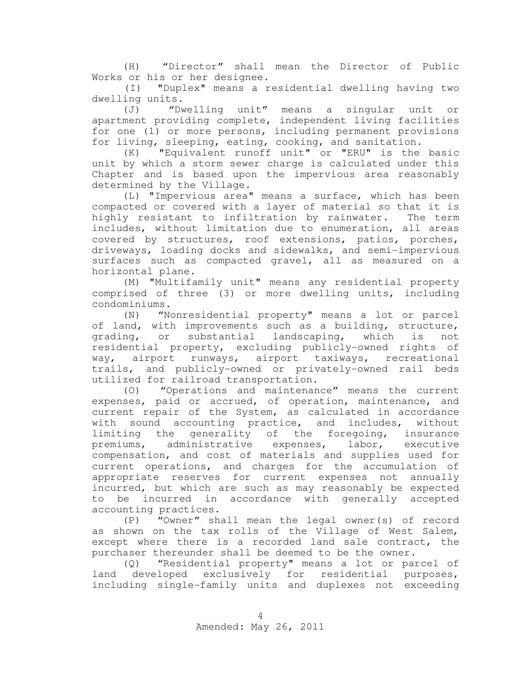(H) "Director" shall mean the Director of Public Works or his or her designee.

(I) "Duplex" means a residential dwelling having two dwelling units.

(J) "Dwelling unit" means a singular unit or apartment providing complete, independent living facilities for one (1) or more persons, including permanent provisions for living, sleeping, eating, cooking, and sanitation.

(K) "Equivalent runoff unit" or "ERU" is the basic unit by which a storm sewer charge is calculated under this Chapter and is based upon the impervious area reasonably determined by the Village.

(L) "Impervious area" means a surface, which has been compacted or covered with a layer of material so that it is highly resistant to infiltration by rainwater. The term includes, without limitation due to enumeration, all areas covered by structures, roof extensions, patios, porches, driveways, loading docks and sidewalks, and semi-impervious surfaces such as compacted gravel, all as measured on a horizontal plane.

(M) "Multifamily unit" means any residential property comprised of three (3) or more dwelling units, including condominiums.

(N) "Nonresidential property" means a lot or parcel of land, with improvements such as a building, structure, grading, or substantial landscaping, which is not residential property, excluding publicly-owned rights of way, airport runways, airport taxiways, recreational trails, and publicly-owned or privately-owned rail beds utilized for railroad transportation.

(O) "Operations and maintenance" means the current expenses, paid or accrued, of operation, maintenance, and current repair of the System, as calculated in accordance with sound accounting practice, and includes, without limiting the generality of the foregoing, insurance premiums, administrative expenses, labor, executive compensation, and cost of materials and supplies used for current operations, and charges for the accumulation of appropriate reserves for current expenses not annually incurred, but which are such as may reasonably be expected to be incurred in accordance with generally accepted accounting practices.

(P) "Owner" shall mean the legal owner(s) of record as shown on the tax rolls of the Village of West Salem, except where there is a recorded land sale contract, the purchaser thereunder shall be deemed to be the owner.

(Q) "Residential property" means a lot or parcel of land developed exclusively for residential purposes, including single-family units and duplexes not exceeding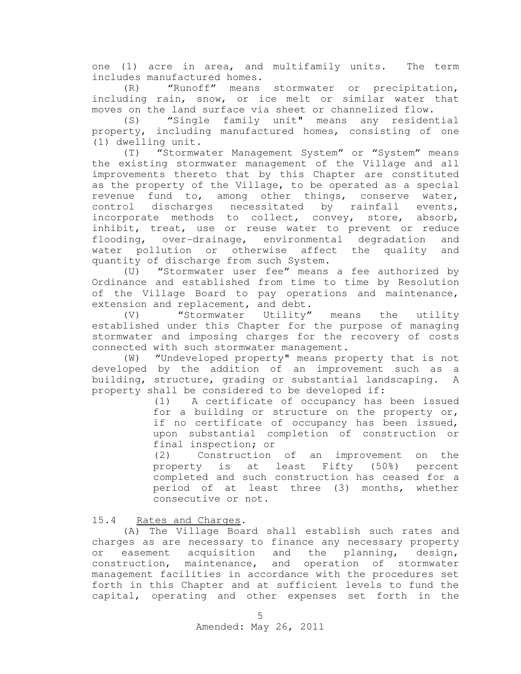one (1) acre in area, and multifamily units. The term includes manufactured homes.

(R) "Runoff" means stormwater or precipitation, including rain, snow, or ice melt or similar water that moves on the land surface via sheet or channelized flow.

(S) "Single family unit" means any residential property, including manufactured homes, consisting of one (1) dwelling unit.

(T) "Stormwater Management System" or "System" means the existing stormwater management of the Village and all improvements thereto that by this Chapter are constituted as the property of the Village, to be operated as a special revenue fund to, among other things, conserve water, control discharges necessitated by rainfall events, incorporate methods to collect, convey, store, absorb, inhibit, treat, use or reuse water to prevent or reduce flooding, over-drainage, environmental degradation and water pollution or otherwise affect the quality and quantity of discharge from such System.

(U) "Stormwater user fee" means a fee authorized by Ordinance and established from time to time by Resolution of the Village Board to pay operations and maintenance, extension and replacement, and debt.

(V) "Stormwater Utility" means the utility established under this Chapter for the purpose of managing stormwater and imposing charges for the recovery of costs connected with such stormwater management.

(W) "Undeveloped property" means property that is not developed by the addition of an improvement such as a building, structure, grading or substantial landscaping. A property shall be considered to be developed if:

> (1) A certificate of occupancy has been issued for a building or structure on the property or, if no certificate of occupancy has been issued, upon substantial completion of construction or final inspection; or

> (2) Construction of an improvement on the property is at least Fifty (50%) percent completed and such construction has ceased for a period of at least three (3) months, whether consecutive or not.

15.4 Rates and Charges .

(A) The Village Board shall establish such rates and charges as are necessary to finance any necessary property or easement acquisition and the planning, design, construction, maintenance, and operation of stormwater management facilities in accordance with the procedures set forth in this Chapter and at sufficient levels to fund the capital, operating and other expenses set forth in the

Amended: May 26, 2011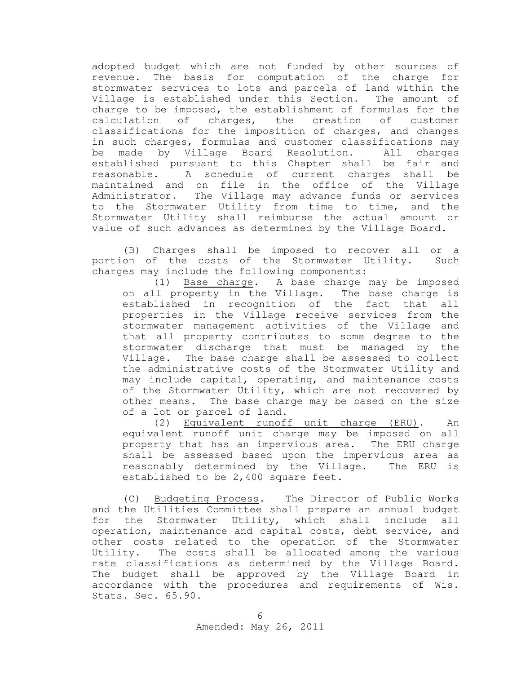adopted budget which are not funded by other sources of revenue. The basis for computation of the charge for stormwater services to lots and parcels of land within the Village is established under this Section. The amount of charge to be imposed, the establishment of formulas for the calculation of charges, the creation of customer classifications for the imposition of charges, and changes in such charges, formulas and customer classifications may be made by Village Board Resolution. All charges established pursuant to this Chapter shall be fair and reasonable. A schedule of current charges shall be maintained and on file in the office of the Village Administrator. The Village may advance funds or services to the Stormwater Utility from time to time, and the Stormwater Utility shall reimburse the actual amount or value of such advances as determined by the Village Board.

(B) Charges shall be imposed to recover all or a portion of the costs of the Stormwater Utility. Such charges may include the following components:

(1) Base charge. A base charge may be imposed on all property in the Village. The base charge is established in recognition of the fact that all properties in the Village receive services from the stormwater management activities of the Village and that all property contributes to some degree to the stormwater discharge that must be managed by the Village. The base charge shall be assessed to collect the administrative costs of the Stormwater Utility and may include capital, operating, and maintenance costs of the Stormwater Utility, which are not recovered by other means. The base charge may be based on the size of a lot or parcel of land.

(2) Equivalent runoff unit charge (ERU). An equivalent runoff unit charge may be imposed on all property that has an impervious area. The ERU charge shall be assessed based upon the impervious area as reasonably determined by the Village. The ERU is established to be 2,400 square feet.

(C) Budgeting Process. The Director of Public Works and the Utilities Committee shall prepare an annual budget for the Stormwater Utility, which shall include all operation, maintenance and capital costs, debt service, and other costs related to the operation of the Stormwater Utility. The costs shall be allocated among the various rate classifications as determined by the Village Board. The budget shall be approved by the Village Board in accordance with the procedures and requirements of Wis. Stats. Sec. 65.90.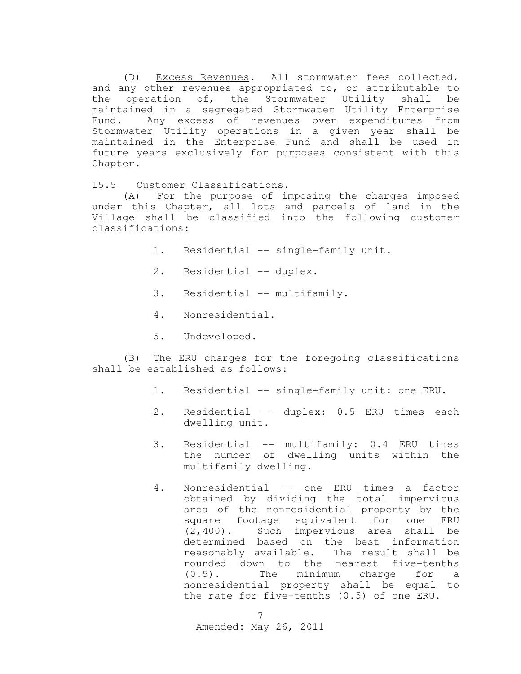(D) Excess Revenues. All stormwater fees collected, and any other revenues appropriated to, or attributable to the operation of, the Stormwater Utility shall be maintained in a segregated Stormwater Utility Enterprise Fund. Any excess of revenues over expenditures from Stormwater Utility operations in a given year shall be maintained in the Enterprise Fund and shall be used in future years exclusively for purposes consistent with this Chapter.

15.5 Customer Classifications .

(A) For the purpose of imposing the charges imposed under this Chapter, all lots and parcels of land in the Village shall be classified into the following customer classifications:

- 1. Residential -- single-family unit.
- 2. Residential -- duplex.
- 3. Residential -- multifamily.
- 4. Nonresidential.
- 5. Undeveloped.

(B) The ERU charges for the foregoing classifications shall be established as follows:

- 1. Residential -- single-family unit: one ERU.
- 2. Residential -- duplex: 0.5 ERU times each dwelling unit.
- 3. Residential -- multifamily: 0.4 ERU times the number of dwelling units within the multifamily dwelling.
- 4. Nonresidential -- one ERU times a factor obtained by dividing the total impervious area of the nonresidential property by the square footage equivalent for one ERU (2,400). Such impervious area shall be determined based on the best information reasonably available. The result shall be rounded down to the nearest five-tenths (0.5). The minimum charge for a nonresidential property shall be equal to the rate for five-tenths (0.5) of one ERU.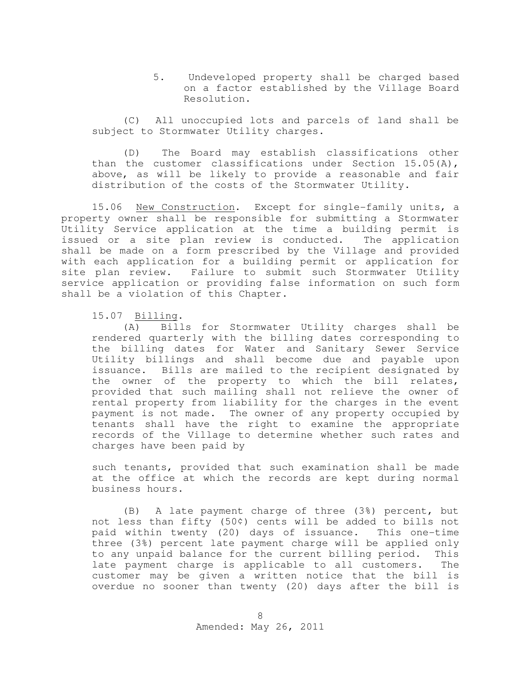5. Undeveloped property shall be charged based on a factor established by the Village Board Resolution.

(C) All unoccupied lots and parcels of land shall be subject to Stormwater Utility charges.

(D) The Board may establish classifications other than the customer classifications under Section 15.05(A), above, as will be likely to provide a reasonable and fair distribution of the costs of the Stormwater Utility.

15.06 New Construction**.** Except for single-family units, a property owner shall be responsible for submitting a Stormwater Utility Service application at the time a building permit is issued or a site plan review is conducted. The application shall be made on a form prescribed by the Village and provided with each application for a building permit or application for site plan review. Failure to submit such Stormwater Utility service application or providing false information on such form shall be a violation of this Chapter.

15.07 B illing **.**

(A) Bills for Stormwater Utility charges shall be rendered quarterly with the billing dates corresponding to the billing dates for Water and Sanitary Sewer Service Utility billings and shall become due and payable upon issuance. Bills are mailed to the recipient designated by the owner of the property to which the bill relates, provided that such mailing shall not relieve the owner of rental property from liability for the charges in the event payment is not made. The owner of any property occupied by tenants shall have the right to examine the appropriate records of the Village to determine whether such rates and charges have been paid by

such tenants, provided that such examination shall be made at the office at which the records are kept during normal business hours.

(B) A late payment charge of three (3%) percent, but not less than fifty (50¢) cents will be added to bills not paid within twenty (20) days of issuance. This one-time three (3%) percent late payment charge will be applied only to any unpaid balance for the current billing period. This late payment charge is applicable to all customers. The customer may be given a written notice that the bill is overdue no sooner than twenty (20) days after the bill is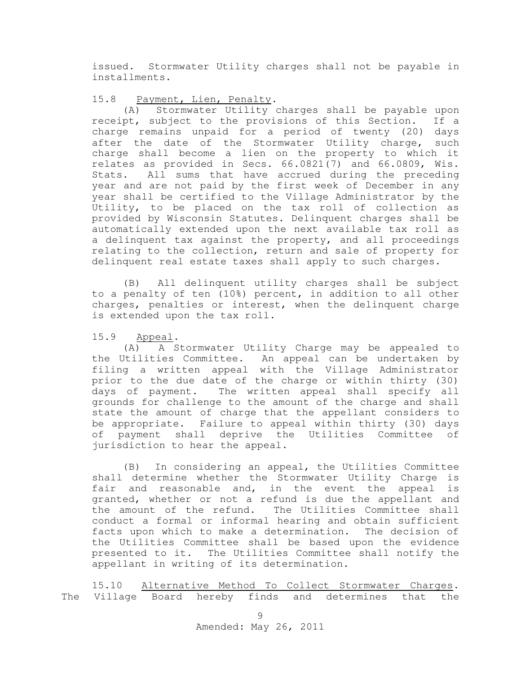issued. Stormwater Utility charges shall not be payable in installments.

15.8 Payment, Lien, Penalty **.**

(A) Stormwater Utility charges shall be payable upon receipt, subject to the provisions of this Section. If a charge remains unpaid for a period of twenty (20) days after the date of the Stormwater Utility charge, such charge shall become a lien on the property to which it relates as provided in Secs. 66.0821(7) and 66.0809, Wis. Stats. All sums that have accrued during the preceding year and are not paid by the first week of December in any year shall be certified to the Village Administrator by the Utility, to be placed on the tax roll of collection as provided by Wisconsin Statutes. Delinquent charges shall be automatically extended upon the next available tax roll as a delinquent tax against the property, and all proceedings relating to the collection, return and sale of property for delinquent real estate taxes shall apply to such charges.

(B) All delinquent utility charges shall be subject to a penalty of ten (10%) percent, in addition to all other charges, penalties or interest, when the delinquent charge is extended upon the tax roll.

15.9 Appeal .

(A) A Stormwater Utility Charge may be appealed to the Utilities Committee. An appeal can be undertaken by filing a written appeal with the Village Administrator prior to the due date of the charge or within thirty (30) days of payment. The written appeal shall specify all grounds for challenge to the amount of the charge and shall state the amount of charge that the appellant considers to be appropriate. Failure to appeal within thirty (30) days of payment shall deprive the Utilities Committee of jurisdiction to hear the appeal.

(B) In considering an appeal, the Utilities Committee shall determine whether the Stormwater Utility Charge is fair and reasonable and, in the event the appeal is granted, whether or not a refund is due the appellant and the amount of the refund. The Utilities Committee shall conduct a formal or informal hearing and obtain sufficient facts upon which to make a determination. The decision of the Utilities Committee shall be based upon the evidence presented to it. The Utilities Committee shall notify the appellant in writing of its determination.

15.10 Alternative Method To Collect Stormwater Charges. The Village Board hereby finds and determines that the